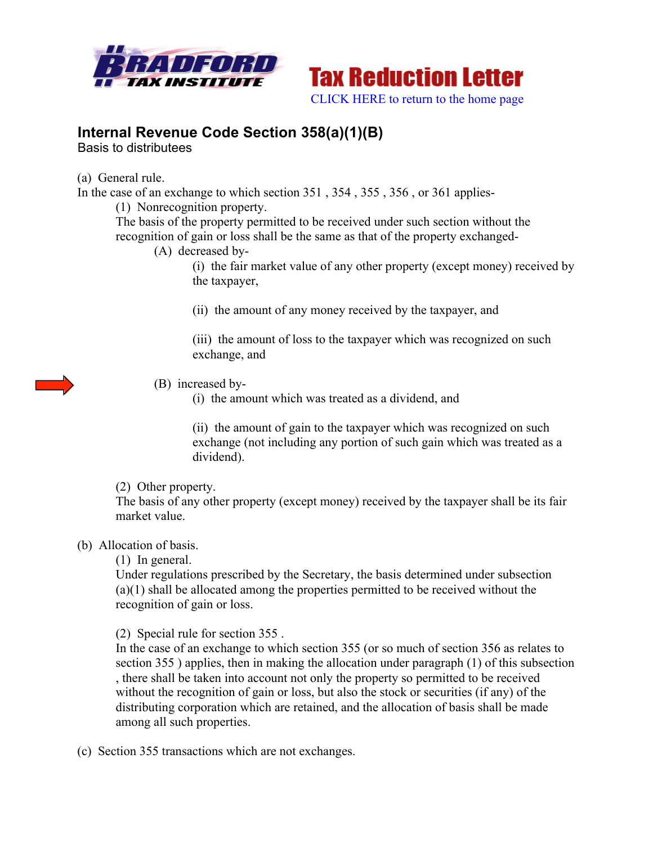



## **Internal Revenue Code Section 358(a)(1)(B)**

Basis to distributees

(a) General rule.

In the case of an exchange to which section 351 , 354 , 355 , 356 , or 361 applies-

(1) Nonrecognition property.

The basis of the property permitted to be received under such section without the recognition of gain or loss shall be the same as that of the property exchanged-

(A) decreased by-

(i) the fair market value of any other property (except money) received by the taxpayer,

(ii) the amount of any money received by the taxpayer, and

(iii) the amount of loss to the taxpayer which was recognized on such exchange, and

(B) increased by-

(i) the amount which was treated as a dividend, and

(ii) the amount of gain to the taxpayer which was recognized on such exchange (not including any portion of such gain which was treated as a dividend).

(2) Other property.

The basis of any other property (except money) received by the taxpayer shall be its fair market value.

## (b) Allocation of basis.

(1) In general.

Under regulations prescribed by the Secretary, the basis determined under subsection (a)(1) shall be allocated among the properties permitted to be received without the recognition of gain or loss.

(2) Special rule for section 355 .

In the case of an exchange to which section 355 (or so much of section 356 as relates to section 355 ) applies, then in making the allocation under paragraph (1) of this subsection , there shall be taken into account not only the property so permitted to be received without the recognition of gain or loss, but also the stock or securities (if any) of the distributing corporation which are retained, and the allocation of basis shall be made among all such properties.

(c) Section 355 transactions which are not exchanges.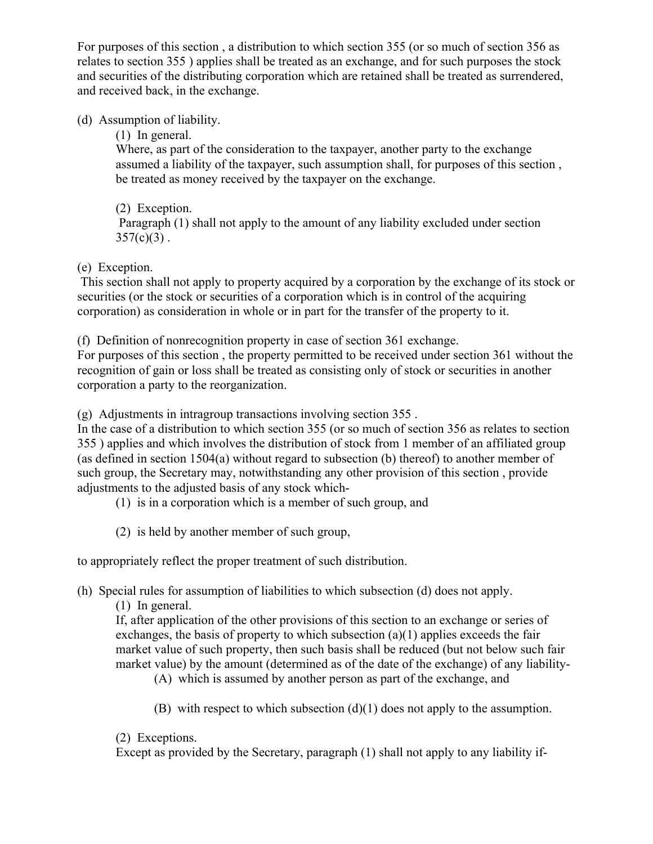For purposes of this section , a distribution to which section 355 (or so much of section 356 as relates to section 355 ) applies shall be treated as an exchange, and for such purposes the stock and securities of the distributing corporation which are retained shall be treated as surrendered, and received back, in the exchange.

(d) Assumption of liability.

(1) In general.

Where, as part of the consideration to the taxpayer, another party to the exchange assumed a liability of the taxpayer, such assumption shall, for purposes of this section , be treated as money received by the taxpayer on the exchange.

(2) Exception. Paragraph (1) shall not apply to the amount of any liability excluded under section  $357(c)(3)$ .

(e) Exception.

This section shall not apply to property acquired by a corporation by the exchange of its stock or securities (or the stock or securities of a corporation which is in control of the acquiring corporation) as consideration in whole or in part for the transfer of the property to it.

(f) Definition of nonrecognition property in case of section 361 exchange.

For purposes of this section , the property permitted to be received under section 361 without the recognition of gain or loss shall be treated as consisting only of stock or securities in another corporation a party to the reorganization.

(g) Adjustments in intragroup transactions involving section 355 .

In the case of a distribution to which section 355 (or so much of section 356 as relates to section 355 ) applies and which involves the distribution of stock from 1 member of an affiliated group (as defined in section 1504(a) without regard to subsection (b) thereof) to another member of such group, the Secretary may, notwithstanding any other provision of this section , provide adjustments to the adjusted basis of any stock which-

(1) is in a corporation which is a member of such group, and

(2) is held by another member of such group,

to appropriately reflect the proper treatment of such distribution.

(h) Special rules for assumption of liabilities to which subsection (d) does not apply.

(1) In general.

If, after application of the other provisions of this section to an exchange or series of exchanges, the basis of property to which subsection (a)(1) applies exceeds the fair market value of such property, then such basis shall be reduced (but not below such fair market value) by the amount (determined as of the date of the exchange) of any liability-

(A) which is assumed by another person as part of the exchange, and

(B) with respect to which subsection (d)(1) does not apply to the assumption.

(2) Exceptions.

Except as provided by the Secretary, paragraph (1) shall not apply to any liability if-